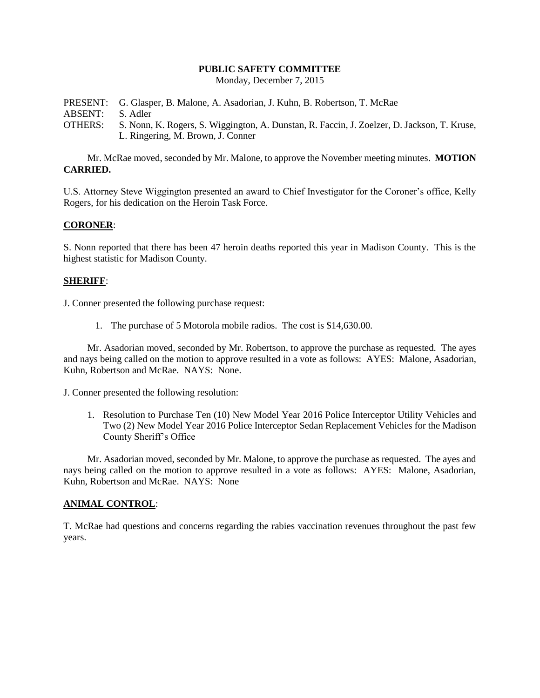### **PUBLIC SAFETY COMMITTEE**

Monday, December 7, 2015

PRESENT: G. Glasper, B. Malone, A. Asadorian, J. Kuhn, B. Robertson, T. McRae ABSENT: S. Adler OTHERS: S. Nonn, K. Rogers, S. Wiggington, A. Dunstan, R. Faccin, J. Zoelzer, D. Jackson, T. Kruse, L. Ringering, M. Brown, J. Conner

Mr. McRae moved, seconded by Mr. Malone, to approve the November meeting minutes. **MOTION CARRIED.**

U.S. Attorney Steve Wiggington presented an award to Chief Investigator for the Coroner's office, Kelly Rogers, for his dedication on the Heroin Task Force.

# **CORONER**:

S. Nonn reported that there has been 47 heroin deaths reported this year in Madison County. This is the highest statistic for Madison County.

### **SHERIFF**:

J. Conner presented the following purchase request:

1. The purchase of 5 Motorola mobile radios. The cost is \$14,630.00.

Mr. Asadorian moved, seconded by Mr. Robertson, to approve the purchase as requested. The ayes and nays being called on the motion to approve resulted in a vote as follows: AYES: Malone, Asadorian, Kuhn, Robertson and McRae. NAYS: None.

J. Conner presented the following resolution:

1. Resolution to Purchase Ten (10) New Model Year 2016 Police Interceptor Utility Vehicles and Two (2) New Model Year 2016 Police Interceptor Sedan Replacement Vehicles for the Madison County Sheriff's Office

Mr. Asadorian moved, seconded by Mr. Malone, to approve the purchase as requested. The ayes and nays being called on the motion to approve resulted in a vote as follows: AYES: Malone, Asadorian, Kuhn, Robertson and McRae. NAYS: None

### **ANIMAL CONTROL**:

T. McRae had questions and concerns regarding the rabies vaccination revenues throughout the past few years.